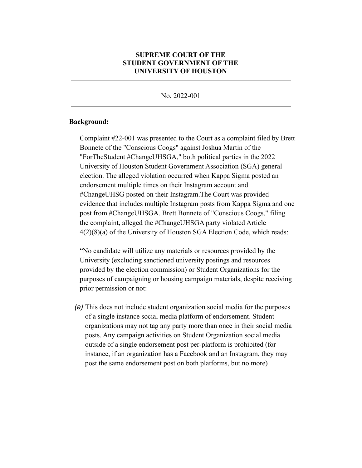## **SUPREME COURT OF THE STUDENT GOVERNMENT OF THE UNIVERSITY OF HOUSTON**

No. 2022-001

## **Background:**

Complaint #22-001 was presented to the Court as a complaint filed by Brett Bonnete of the "Conscious Coogs" against Joshua Martin of the "ForTheStudent #ChangeUHSGA," both political parties in the 2022 University of Houston Student Government Association (SGA) general election. The alleged violation occurred when Kappa Sigma posted an endorsement multiple times on their Instagram account and #ChangeUHSG posted on their Instagram.The Court was provided evidence that includes multiple Instagram posts from Kappa Sigma and one post from #ChangeUHSGA. Brett Bonnete of "Conscious Coogs," filing the complaint, alleged the #ChangeUHSGA party violated Article 4(2)(8)(a) of the University of Houston SGA Election Code, which reads:

"No candidate will utilize any materials or resources provided by the University (excluding sanctioned university postings and resources provided by the election commission) or Student Organizations for the purposes of campaigning or housing campaign materials, despite receiving prior permission or not:

*(a)* This does not include student organization social media for the purposes of a single instance social media platform of endorsement. Student organizations may not tag any party more than once in their social media posts. Any campaign activities on Student Organization social media outside of a single endorsement post per-platform is prohibited (for instance, if an organization has a Facebook and an Instagram, they may post the same endorsement post on both platforms, but no more)